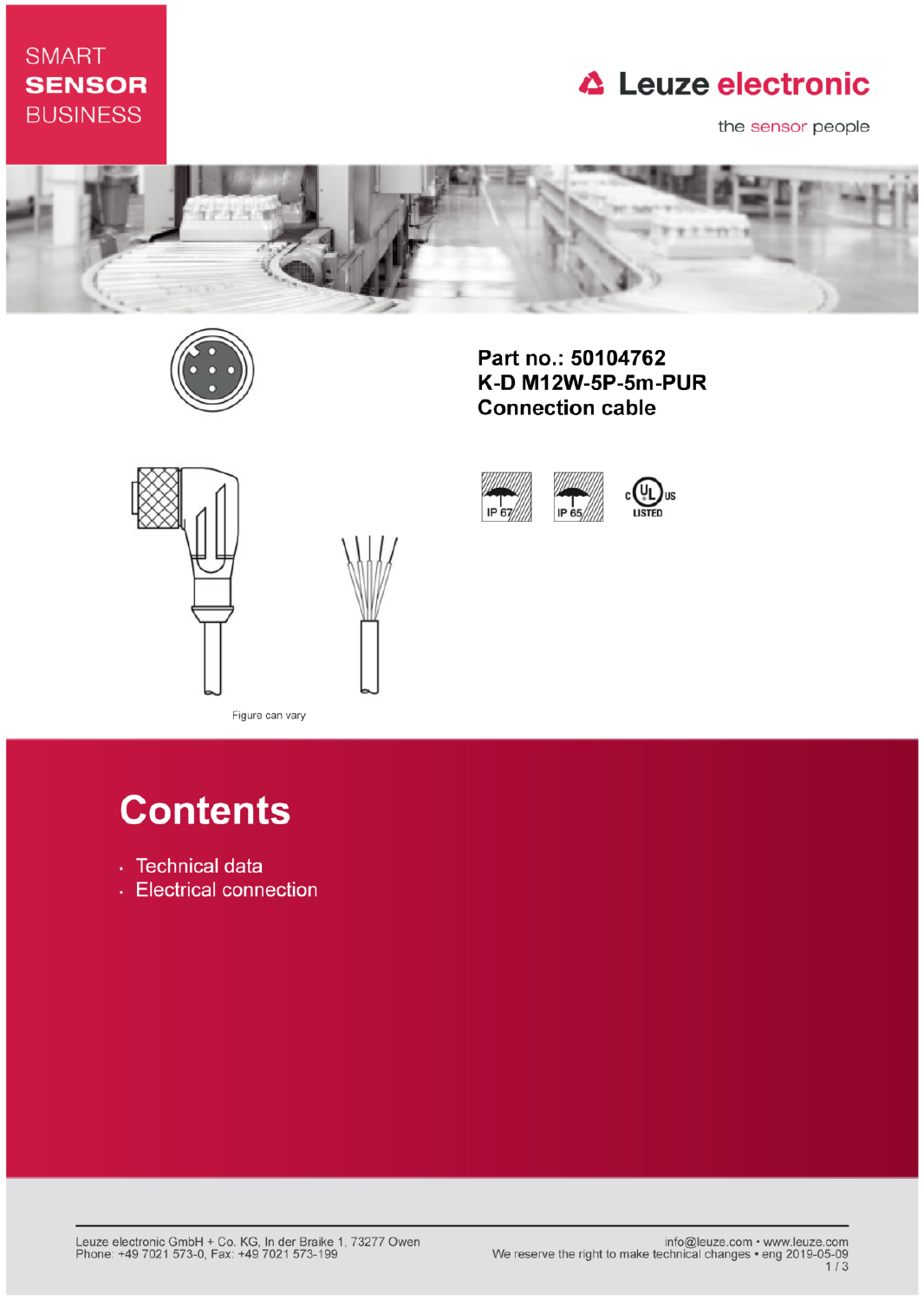### **SMART SENSOR BUSINESS**

## **△ Leuze electronic**

the sensor people



IP 67



Part no.: 50104762 K-D M12W-5P-5m-PUR **Connection cable** 

IP 65





Figure can vary

# **Contents**

- · Technical data
- Electrical connection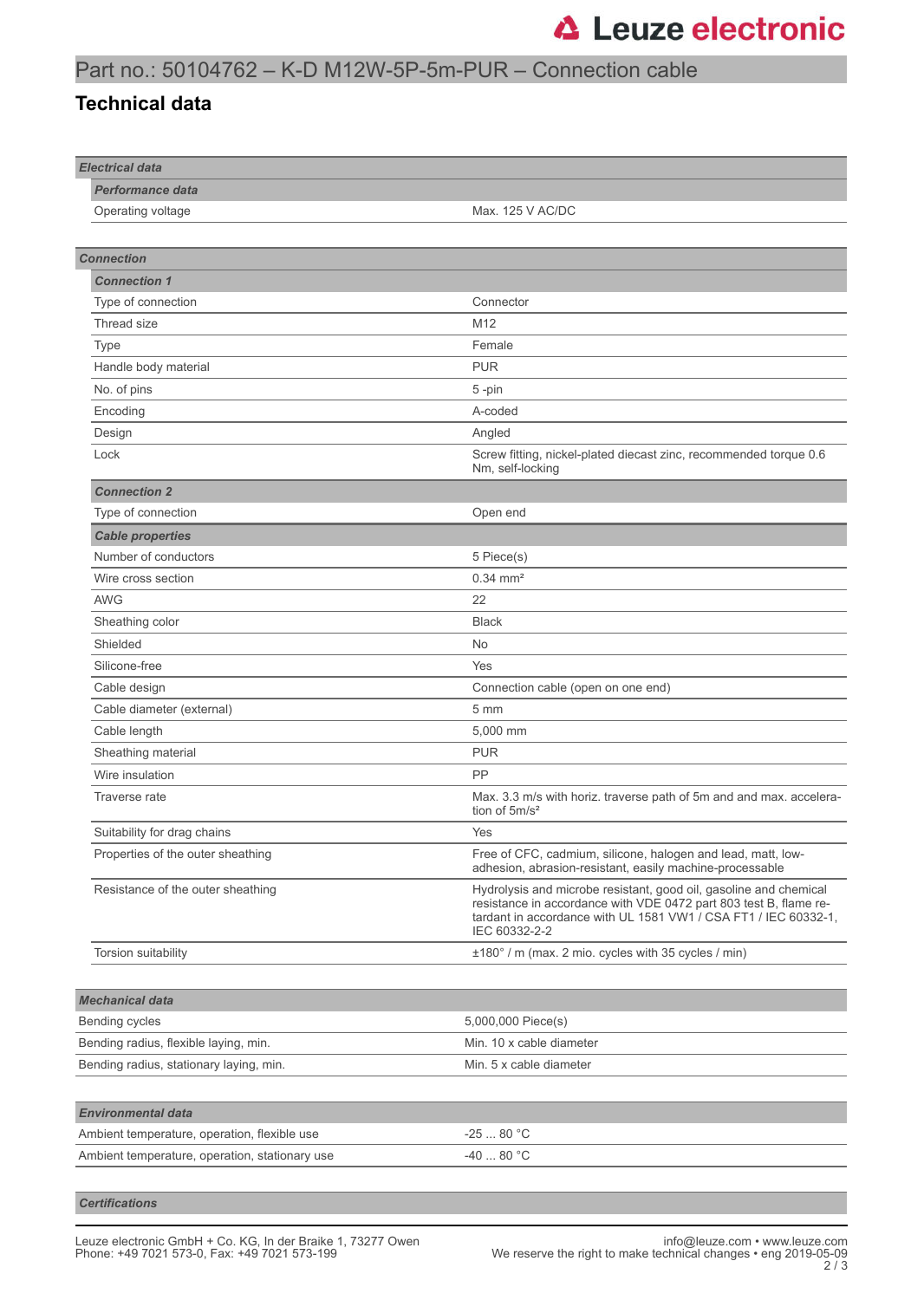#### Part no.: 50104762 – K-D M12W-5P-5m-PUR – Connection cable

#### **Technical data**

| <b>Electrical data</b>                         |                                                                                                                                                                                                                            |
|------------------------------------------------|----------------------------------------------------------------------------------------------------------------------------------------------------------------------------------------------------------------------------|
| <b>Performance data</b>                        |                                                                                                                                                                                                                            |
| Operating voltage                              | Max. 125 V AC/DC                                                                                                                                                                                                           |
|                                                |                                                                                                                                                                                                                            |
| <b>Connection</b>                              |                                                                                                                                                                                                                            |
| <b>Connection 1</b>                            |                                                                                                                                                                                                                            |
| Type of connection                             | Connector                                                                                                                                                                                                                  |
| Thread size                                    | M12                                                                                                                                                                                                                        |
| Type                                           | Female                                                                                                                                                                                                                     |
| Handle body material                           | <b>PUR</b>                                                                                                                                                                                                                 |
| No. of pins                                    | 5-pin                                                                                                                                                                                                                      |
| Encoding                                       | A-coded                                                                                                                                                                                                                    |
| Design                                         | Angled                                                                                                                                                                                                                     |
| Lock                                           | Screw fitting, nickel-plated diecast zinc, recommended torque 0.6<br>Nm, self-locking                                                                                                                                      |
| <b>Connection 2</b>                            |                                                                                                                                                                                                                            |
| Type of connection                             | Open end                                                                                                                                                                                                                   |
| <b>Cable properties</b>                        |                                                                                                                                                                                                                            |
| Number of conductors                           | 5 Piece(s)                                                                                                                                                                                                                 |
| Wire cross section                             | $0.34 \, \text{mm}^2$                                                                                                                                                                                                      |
| <b>AWG</b>                                     | 22                                                                                                                                                                                                                         |
| Sheathing color                                | <b>Black</b>                                                                                                                                                                                                               |
| Shielded                                       | No                                                                                                                                                                                                                         |
| Silicone-free                                  | Yes                                                                                                                                                                                                                        |
| Cable design                                   | Connection cable (open on one end)                                                                                                                                                                                         |
| Cable diameter (external)                      | 5 <sub>mm</sub>                                                                                                                                                                                                            |
| Cable length                                   | 5,000 mm                                                                                                                                                                                                                   |
| Sheathing material                             | <b>PUR</b>                                                                                                                                                                                                                 |
| Wire insulation                                | PP                                                                                                                                                                                                                         |
| Traverse rate                                  | Max. 3.3 m/s with horiz. traverse path of 5m and and max. accelera-<br>tion of $5m/s^2$                                                                                                                                    |
| Suitability for drag chains                    | Yes                                                                                                                                                                                                                        |
| Properties of the outer sheathing              | Free of CFC, cadmium, silicone, halogen and lead, matt, low-<br>adhesion, abrasion-resistant, easily machine-processable                                                                                                   |
| Resistance of the outer sheathing              | Hydrolysis and microbe resistant, good oil, gasoline and chemical<br>resistance in accordance with VDE 0472 part 803 test B, flame re-<br>tardant in accordance with UL 1581 VW1 / CSA FT1 / IEC 60332-1,<br>IEC 60332-2-2 |
| Torsion suitability                            | ±180° / m (max. 2 mio. cycles with 35 cycles / min)                                                                                                                                                                        |
|                                                |                                                                                                                                                                                                                            |
| <b>Mechanical data</b>                         |                                                                                                                                                                                                                            |
| Bending cycles                                 | 5,000,000 Piece(s)                                                                                                                                                                                                         |
| Bending radius, flexible laying, min.          | Min. 10 x cable diameter                                                                                                                                                                                                   |
| Bending radius, stationary laying, min.        | Min. 5 x cable diameter                                                                                                                                                                                                    |
|                                                |                                                                                                                                                                                                                            |
| <b>Environmental data</b>                      |                                                                                                                                                                                                                            |
| Ambient temperature, operation, flexible use   | $-2580 °C$                                                                                                                                                                                                                 |
| Ambient temperature, operation, stationary use | -40  80 °C                                                                                                                                                                                                                 |
|                                                |                                                                                                                                                                                                                            |